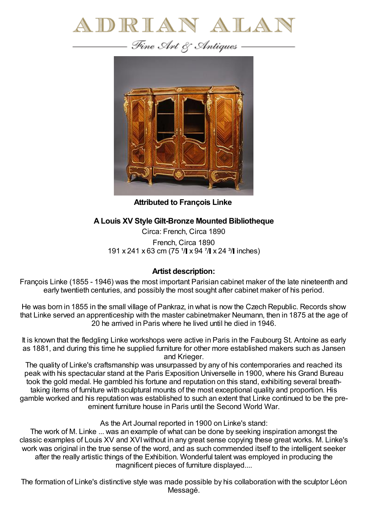



**Attributed to François Linke**

## **ALouis XV Style Gilt-Bronze Mounted Bibliotheque**

Circa: French, Circa 1890 French, Circa 1890 191 x 241 x 63 cm (75  $\frac{1}{1}$  x 94  $\frac{7}{1}$  x 24  $\frac{3}{1}$  inches)

## **Artist description:**

François Linke (1855 - 1946) was the most important Parisian cabinet maker of the late nineteenth and early twentieth centuries, and possibly the most sought after cabinet maker of his period.

He was born in 1855 in the small village of Pankraz, in what is now the Czech Republic. Records show that Linke served an apprenticeship with the master cabinetmaker Neumann, then in 1875 at the age of 20 he arrived in Paris where he lived until he died in 1946.

It is known that the fledgling Linke workshops were active in Paris in the Faubourg St. Antoine as early as 1881, and during this time he supplied furniture for other more established makers such as Jansen and Krieger.

The quality of Linke's craftsmanship was unsurpassed by any of his contemporaries and reached its peak with his spectacular stand at the Paris Exposition Universelle in 1900, where his Grand Bureau took the gold medal. He gambled his fortune and reputation on this stand, exhibiting several breathtaking items of furniture with sculptural mounts of the most exceptional quality and proportion. His gamble worked and his reputation was established to such an extent that Linke continued to be the preeminent furniture house in Paris until the Second World War.

As the Art Journal reported in 1900 on Linke's stand:

The work of M. Linke ... was an example of what can be done by seeking inspiration amongst the classic examples of Louis XV and XVIwithout in any great sense copying these great works. M. Linke's work was original in the true sense of the word, and as such commended itself to the intelligent seeker after the really artistic things of the Exhibition. Wonderful talent was employed in producing the magnificent pieces of furniture displayed....

The formation of Linke's distinctive style was made possible by his collaboration with the sculptor Léon Messagé.